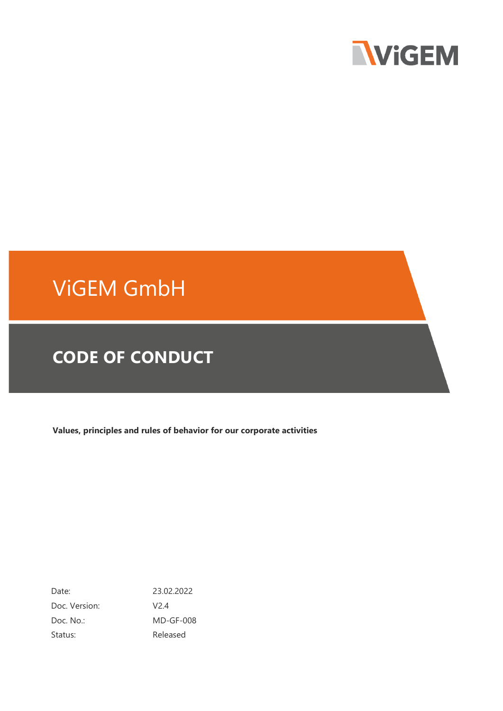

# ViGEM GmbH

# **CODE OF CONDUCT**

**Values, principles and rules of behavior for our corporate activities**

| Date:         | 23.02.2022       |
|---------------|------------------|
| Doc. Version: | V <sub>2.4</sub> |
| Doc. No.:     | $MD-GF-008$      |
| Status:       | Released         |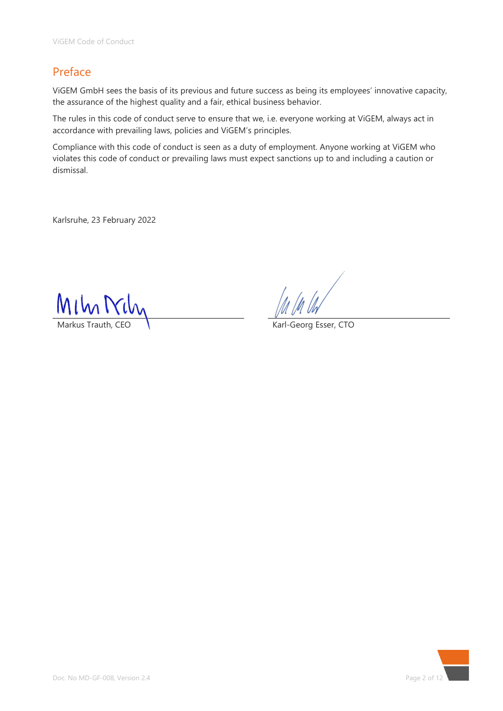# Preface

ViGEM GmbH sees the basis of its previous and future success as being its employees' innovative capacity, the assurance of the highest quality and a fair, ethical business behavior.

The rules in this code of conduct serve to ensure that we, i.e. everyone working at ViGEM, always act in accordance with prevailing laws, policies and ViGEM's principles.

Compliance with this code of conduct is seen as a duty of employment. Anyone working at ViGEM who violates this code of conduct or prevailing laws must expect sanctions up to and including a caution or dismissal.

Karlsruhe, 23 February 2022

Karl-Georg Esser, CTO

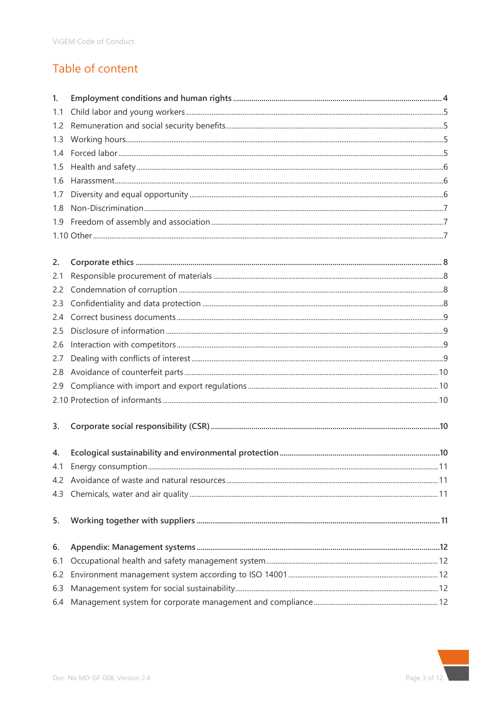# Table of content

| 1.  |  |
|-----|--|
| 1.1 |  |
| 1.2 |  |
| 1.3 |  |
| 1.4 |  |
| 1.5 |  |
| 1.6 |  |
| 1.7 |  |
| 1.8 |  |
| 1.9 |  |
|     |  |
|     |  |
| 2.  |  |
| 2.1 |  |
| 2.2 |  |
| 2.3 |  |
| 2.4 |  |
| 2.5 |  |
| 2.6 |  |
| 2.7 |  |
| 2.8 |  |
| 2.9 |  |
|     |  |
| 3.  |  |
| 4.  |  |
| 4.1 |  |
|     |  |
|     |  |
| 5.  |  |
| 6.  |  |
| 6.1 |  |
| 6.2 |  |
| 6.3 |  |
| 6.4 |  |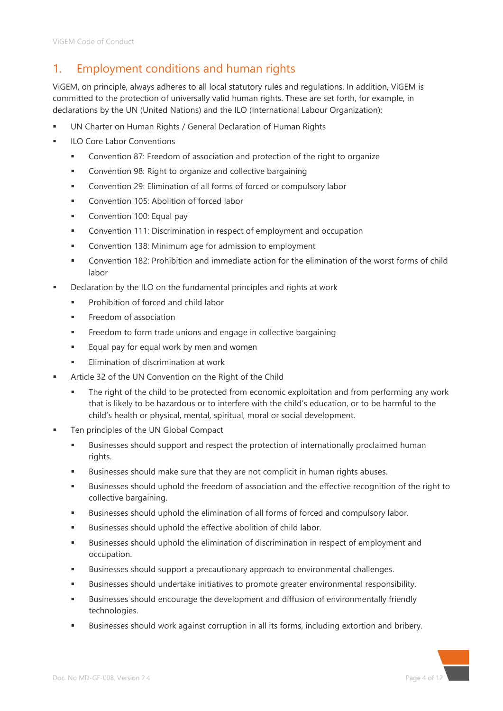# <span id="page-3-0"></span>1. Employment conditions and human rights

ViGEM, on principle, always adheres to all local statutory rules and regulations. In addition, ViGEM is committed to the protection of universally valid human rights. These are set forth, for example, in declarations by the UN (United Nations) and the ILO (International Labour Organization):

- UN Charter on Human Rights / General Declaration of Human Rights
- ILO Core Labor Conventions
	- Convention 87: Freedom of association and protection of the right to organize
	- Convention 98: Right to organize and collective bargaining
	- Convention 29: Elimination of all forms of forced or compulsory labor
	- Convention 105: Abolition of forced labor
	- Convention 100: Equal pay
	- Convention 111: Discrimination in respect of employment and occupation
	- Convention 138: Minimum age for admission to employment
	- Convention 182: Prohibition and immediate action for the elimination of the worst forms of child labor
- Declaration by the ILO on the fundamental principles and rights at work
	- **Prohibition of forced and child labor**
	- Freedom of association
	- Freedom to form trade unions and engage in collective bargaining
	- **Equal pay for equal work by men and women**
	- Elimination of discrimination at work
- Article 32 of the UN Convention on the Right of the Child
	- The right of the child to be protected from economic exploitation and from performing any work that is likely to be hazardous or to interfere with the child's education, or to be harmful to the child's health or physical, mental, spiritual, moral or social development.
- Ten principles of the UN Global Compact
	- Businesses should support and respect the protection of internationally proclaimed human rights.
	- Businesses should make sure that they are not complicit in human rights abuses.
	- Businesses should uphold the freedom of association and the effective recognition of the right to collective bargaining.
	- Businesses should uphold the elimination of all forms of forced and compulsory labor.
	- Businesses should uphold the effective abolition of child labor.
	- Businesses should uphold the elimination of discrimination in respect of employment and occupation.
	- Businesses should support a precautionary approach to environmental challenges.
	- Businesses should undertake initiatives to promote greater environmental responsibility.
	- Businesses should encourage the development and diffusion of environmentally friendly technologies.
	- Businesses should work against corruption in all its forms, including extortion and bribery.

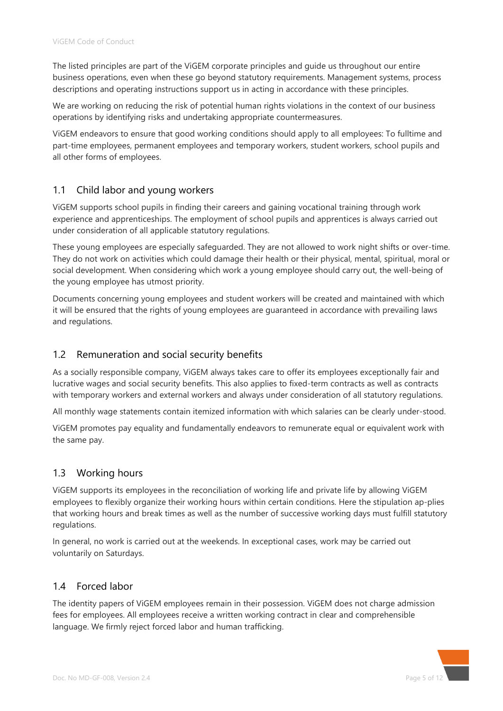The listed principles are part of the ViGEM corporate principles and guide us throughout our entire business operations, even when these go beyond statutory requirements. Management systems, process descriptions and operating instructions support us in acting in accordance with these principles.

We are working on reducing the risk of potential human rights violations in the context of our business operations by identifying risks and undertaking appropriate countermeasures.

ViGEM endeavors to ensure that good working conditions should apply to all employees: To fulltime and part-time employees, permanent employees and temporary workers, student workers, school pupils and all other forms of employees.

#### <span id="page-4-0"></span>1.1 Child labor and young workers

ViGEM supports school pupils in finding their careers and gaining vocational training through work experience and apprenticeships. The employment of school pupils and apprentices is always carried out under consideration of all applicable statutory regulations.

These young employees are especially safeguarded. They are not allowed to work night shifts or over-time. They do not work on activities which could damage their health or their physical, mental, spiritual, moral or social development. When considering which work a young employee should carry out, the well-being of the young employee has utmost priority.

Documents concerning young employees and student workers will be created and maintained with which it will be ensured that the rights of young employees are guaranteed in accordance with prevailing laws and regulations.

#### <span id="page-4-1"></span>1.2 Remuneration and social security benefits

As a socially responsible company, ViGEM always takes care to offer its employees exceptionally fair and lucrative wages and social security benefits. This also applies to fixed-term contracts as well as contracts with temporary workers and external workers and always under consideration of all statutory regulations.

All monthly wage statements contain itemized information with which salaries can be clearly under-stood.

ViGEM promotes pay equality and fundamentally endeavors to remunerate equal or equivalent work with the same pay.

#### <span id="page-4-2"></span>1.3 Working hours

ViGEM supports its employees in the reconciliation of working life and private life by allowing ViGEM employees to flexibly organize their working hours within certain conditions. Here the stipulation ap-plies that working hours and break times as well as the number of successive working days must fulfill statutory regulations.

In general, no work is carried out at the weekends. In exceptional cases, work may be carried out voluntarily on Saturdays.

#### <span id="page-4-3"></span>1.4 Forced labor

The identity papers of ViGEM employees remain in their possession. ViGEM does not charge admission fees for employees. All employees receive a written working contract in clear and comprehensible language. We firmly reject forced labor and human trafficking.

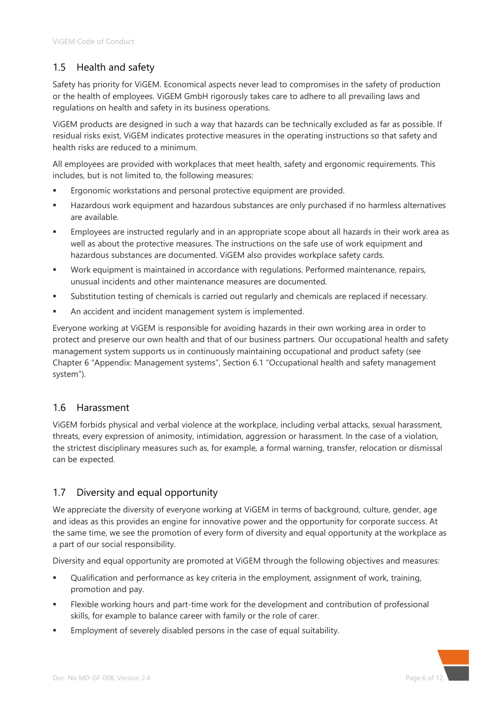## <span id="page-5-0"></span>1.5 Health and safety

Safety has priority for ViGEM. Economical aspects never lead to compromises in the safety of production or the health of employees. ViGEM GmbH rigorously takes care to adhere to all prevailing laws and regulations on health and safety in its business operations.

ViGEM products are designed in such a way that hazards can be technically excluded as far as possible. If residual risks exist, ViGEM indicates protective measures in the operating instructions so that safety and health risks are reduced to a minimum.

All employees are provided with workplaces that meet health, safety and ergonomic requirements. This includes, but is not limited to, the following measures:

- **Example 2** Ergonomic workstations and personal protective equipment are provided.
- Hazardous work equipment and hazardous substances are only purchased if no harmless alternatives are available.
- Employees are instructed regularly and in an appropriate scope about all hazards in their work area as well as about the protective measures. The instructions on the safe use of work equipment and hazardous substances are documented. ViGEM also provides workplace safety cards.
- Work equipment is maintained in accordance with regulations. Performed maintenance, repairs, unusual incidents and other maintenance measures are documented.
- Substitution testing of chemicals is carried out regularly and chemicals are replaced if necessary.
- **An accident and incident management system is implemented.**

Everyone working at ViGEM is responsible for avoiding hazards in their own working area in order to protect and preserve our own health and that of our business partners. Our occupational health and safety management system supports us in continuously maintaining occupational and product safety (see Chapter [6](#page-10-4) ["Appendix: Management systems"](#page-10-4), Section [6.1](#page-11-1) ["Occupational health and safety management](#page-11-1)  [system"](#page-11-1)).

#### <span id="page-5-1"></span>1.6 Harassment

ViGEM forbids physical and verbal violence at the workplace, including verbal attacks, sexual harassment, threats, every expression of animosity, intimidation, aggression or harassment. In the case of a violation, the strictest disciplinary measures such as, for example, a formal warning, transfer, relocation or dismissal can be expected.

#### <span id="page-5-2"></span>1.7 Diversity and equal opportunity

We appreciate the diversity of everyone working at ViGEM in terms of background, culture, gender, age and ideas as this provides an engine for innovative power and the opportunity for corporate success. At the same time, we see the promotion of every form of diversity and equal opportunity at the workplace as a part of our social responsibility.

Diversity and equal opportunity are promoted at ViGEM through the following objectives and measures:

- Qualification and performance as key criteria in the employment, assignment of work, training, promotion and pay.
- Flexible working hours and part-time work for the development and contribution of professional skills, for example to balance career with family or the role of carer.
- Employment of severely disabled persons in the case of equal suitability.

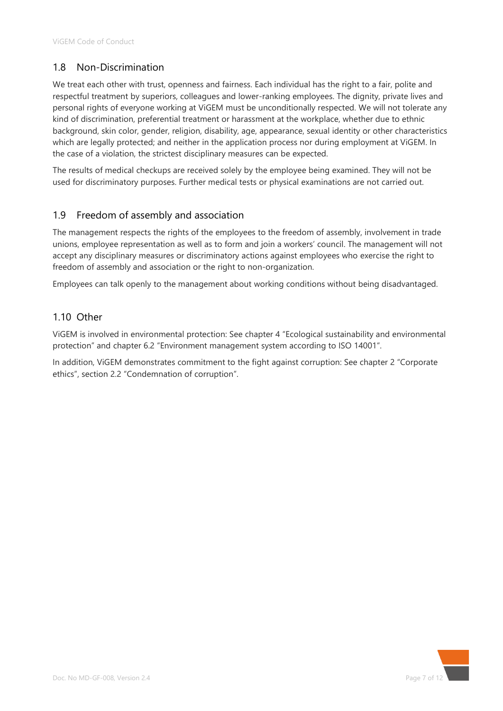## <span id="page-6-0"></span>1.8 Non-Discrimination

We treat each other with trust, openness and fairness. Each individual has the right to a fair, polite and respectful treatment by superiors, colleagues and lower-ranking employees. The dignity, private lives and personal rights of everyone working at ViGEM must be unconditionally respected. We will not tolerate any kind of discrimination, preferential treatment or harassment at the workplace, whether due to ethnic background, skin color, gender, religion, disability, age, appearance, sexual identity or other characteristics which are legally protected; and neither in the application process nor during employment at ViGEM. In the case of a violation, the strictest disciplinary measures can be expected.

The results of medical checkups are received solely by the employee being examined. They will not be used for discriminatory purposes. Further medical tests or physical examinations are not carried out.

## <span id="page-6-1"></span>1.9 Freedom of assembly and association

The management respects the rights of the employees to the freedom of assembly, involvement in trade unions, employee representation as well as to form and join a workers' council. The management will not accept any disciplinary measures or discriminatory actions against employees who exercise the right to freedom of assembly and association or the right to non-organization.

<span id="page-6-2"></span>Employees can talk openly to the management about working conditions without being disadvantaged.

## 1.10 Other

ViGEM is involved in environmental protection: See chapter [4](#page-9-4) ["Ecological sustainability and environmental](#page-9-4)  [protection"](#page-9-4) and chapter [6.2](#page-11-2) ["Environment management system](#page-11-2) according to ISO 14001".

In addition, ViGEM demonstrates commitment to the fight against corruption: See chapter [2](#page-7-0) ["Corporate](#page-7-0)  [ethics"](#page-7-0), section [2.2](#page-7-2) ["Condemnation of corruption"](#page-7-2).

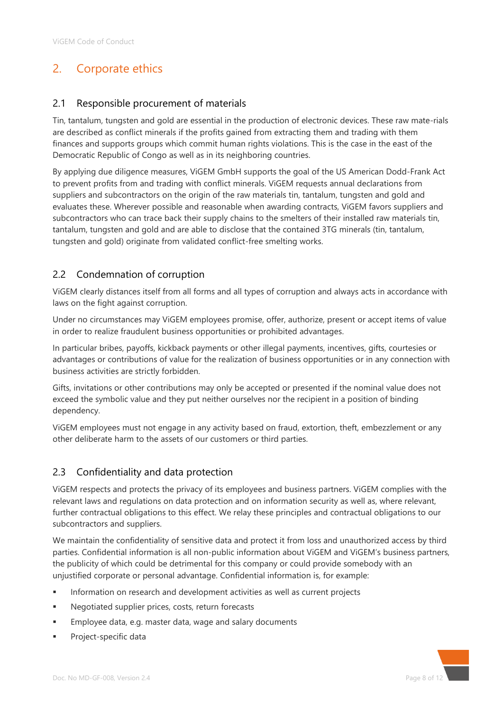# <span id="page-7-0"></span>2. Corporate ethics

#### <span id="page-7-1"></span>2.1 Responsible procurement of materials

Tin, tantalum, tungsten and gold are essential in the production of electronic devices. These raw mate-rials are described as conflict minerals if the profits gained from extracting them and trading with them finances and supports groups which commit human rights violations. This is the case in the east of the Democratic Republic of Congo as well as in its neighboring countries.

By applying due diligence measures, ViGEM GmbH supports the goal of the US American Dodd-Frank Act to prevent profits from and trading with conflict minerals. ViGEM requests annual declarations from suppliers and subcontractors on the origin of the raw materials tin, tantalum, tungsten and gold and evaluates these. Wherever possible and reasonable when awarding contracts, ViGEM favors suppliers and subcontractors who can trace back their supply chains to the smelters of their installed raw materials tin, tantalum, tungsten and gold and are able to disclose that the contained 3TG minerals (tin, tantalum, tungsten and gold) originate from validated conflict-free smelting works.

## <span id="page-7-2"></span>2.2 Condemnation of corruption

ViGEM clearly distances itself from all forms and all types of corruption and always acts in accordance with laws on the fight against corruption.

Under no circumstances may ViGEM employees promise, offer, authorize, present or accept items of value in order to realize fraudulent business opportunities or prohibited advantages.

In particular bribes, payoffs, kickback payments or other illegal payments, incentives, gifts, courtesies or advantages or contributions of value for the realization of business opportunities or in any connection with business activities are strictly forbidden.

Gifts, invitations or other contributions may only be accepted or presented if the nominal value does not exceed the symbolic value and they put neither ourselves nor the recipient in a position of binding dependency.

ViGEM employees must not engage in any activity based on fraud, extortion, theft, embezzlement or any other deliberate harm to the assets of our customers or third parties.

#### <span id="page-7-3"></span>2.3 Confidentiality and data protection

ViGEM respects and protects the privacy of its employees and business partners. ViGEM complies with the relevant laws and regulations on data protection and on information security as well as, where relevant, further contractual obligations to this effect. We relay these principles and contractual obligations to our subcontractors and suppliers.

We maintain the confidentiality of sensitive data and protect it from loss and unauthorized access by third parties. Confidential information is all non-public information about ViGEM and ViGEM's business partners, the publicity of which could be detrimental for this company or could provide somebody with an unjustified corporate or personal advantage. Confidential information is, for example:

- **Information on research and development activities as well as current projects**
- Negotiated supplier prices, costs, return forecasts
- **Employee data, e.g. master data, wage and salary documents**
- Project-specific data

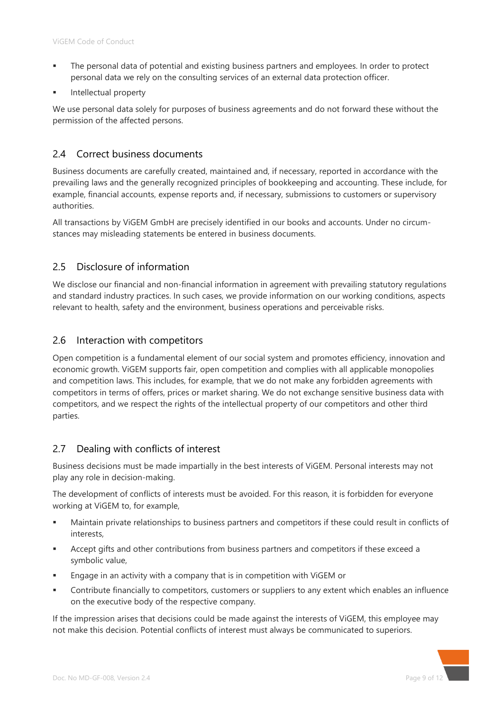- The personal data of potential and existing business partners and employees. In order to protect personal data we rely on the consulting services of an external data protection officer.
- Intellectual property

We use personal data solely for purposes of business agreements and do not forward these without the permission of the affected persons.

#### <span id="page-8-0"></span>2.4 Correct business documents

Business documents are carefully created, maintained and, if necessary, reported in accordance with the prevailing laws and the generally recognized principles of bookkeeping and accounting. These include, for example, financial accounts, expense reports and, if necessary, submissions to customers or supervisory authorities.

All transactions by ViGEM GmbH are precisely identified in our books and accounts. Under no circumstances may misleading statements be entered in business documents.

#### <span id="page-8-1"></span>2.5 Disclosure of information

We disclose our financial and non-financial information in agreement with prevailing statutory regulations and standard industry practices. In such cases, we provide information on our working conditions, aspects relevant to health, safety and the environment, business operations and perceivable risks.

#### <span id="page-8-2"></span>2.6 Interaction with competitors

Open competition is a fundamental element of our social system and promotes efficiency, innovation and economic growth. ViGEM supports fair, open competition and complies with all applicable monopolies and competition laws. This includes, for example, that we do not make any forbidden agreements with competitors in terms of offers, prices or market sharing. We do not exchange sensitive business data with competitors, and we respect the rights of the intellectual property of our competitors and other third parties.

#### <span id="page-8-3"></span>2.7 Dealing with conflicts of interest

Business decisions must be made impartially in the best interests of ViGEM. Personal interests may not play any role in decision-making.

The development of conflicts of interests must be avoided. For this reason, it is forbidden for everyone working at ViGEM to, for example,

- Maintain private relationships to business partners and competitors if these could result in conflicts of interests,
- Accept gifts and other contributions from business partners and competitors if these exceed a symbolic value,
- **Engage in an activity with a company that is in competition with ViGEM or**
- Contribute financially to competitors, customers or suppliers to any extent which enables an influence on the executive body of the respective company.

If the impression arises that decisions could be made against the interests of ViGEM, this employee may not make this decision. Potential conflicts of interest must always be communicated to superiors.

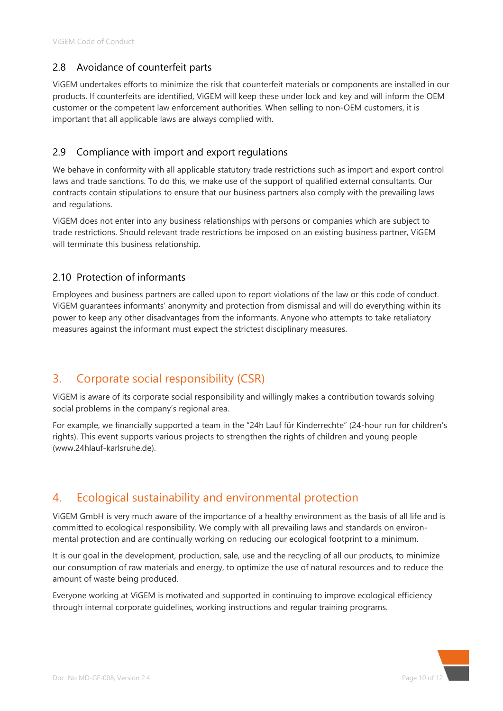## <span id="page-9-0"></span>2.8 Avoidance of counterfeit parts

ViGEM undertakes efforts to minimize the risk that counterfeit materials or components are installed in our products. If counterfeits are identified, ViGEM will keep these under lock and key and will inform the OEM customer or the competent law enforcement authorities. When selling to non-OEM customers, it is important that all applicable laws are always complied with.

## <span id="page-9-1"></span>2.9 Compliance with import and export regulations

We behave in conformity with all applicable statutory trade restrictions such as import and export control laws and trade sanctions. To do this, we make use of the support of qualified external consultants. Our contracts contain stipulations to ensure that our business partners also comply with the prevailing laws and regulations.

ViGEM does not enter into any business relationships with persons or companies which are subject to trade restrictions. Should relevant trade restrictions be imposed on an existing business partner, ViGEM will terminate this business relationship.

## <span id="page-9-2"></span>2.10 Protection of informants

Employees and business partners are called upon to report violations of the law or this code of conduct. ViGEM guarantees informants' anonymity and protection from dismissal and will do everything within its power to keep any other disadvantages from the informants. Anyone who attempts to take retaliatory measures against the informant must expect the strictest disciplinary measures.

# <span id="page-9-3"></span>3. Corporate social responsibility (CSR)

ViGEM is aware of its corporate social responsibility and willingly makes a contribution towards solving social problems in the company's regional area.

For example, we financially supported a team in the "24h Lauf für Kinderrechte" (24-hour run for children's rights). This event supports various projects to strengthen the rights of children and young people (www.24hlauf-karlsruhe.de).

# <span id="page-9-4"></span>4. Ecological sustainability and environmental protection

ViGEM GmbH is very much aware of the importance of a healthy environment as the basis of all life and is committed to ecological responsibility. We comply with all prevailing laws and standards on environmental protection and are continually working on reducing our ecological footprint to a minimum.

It is our goal in the development, production, sale, use and the recycling of all our products, to minimize our consumption of raw materials and energy, to optimize the use of natural resources and to reduce the amount of waste being produced.

Everyone working at ViGEM is motivated and supported in continuing to improve ecological efficiency through internal corporate guidelines, working instructions and regular training programs.

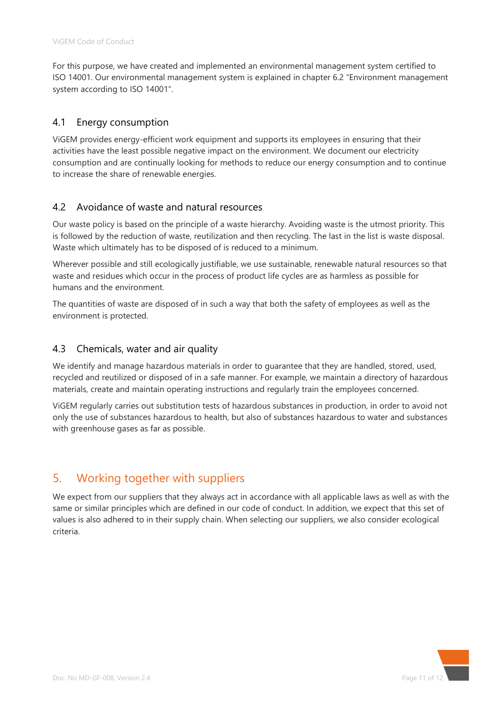For this purpose, we have created and implemented an environmental management system certified to ISO 14001. Our environmental management system is explained in chapter [6.2](#page-11-2) ["Environment management](#page-11-2)  system [according to ISO 14001"](#page-11-2).

## <span id="page-10-0"></span>4.1 Energy consumption

ViGEM provides energy-efficient work equipment and supports its employees in ensuring that their activities have the least possible negative impact on the environment. We document our electricity consumption and are continually looking for methods to reduce our energy consumption and to continue to increase the share of renewable energies.

## <span id="page-10-1"></span>4.2 Avoidance of waste and natural resources

Our waste policy is based on the principle of a waste hierarchy. Avoiding waste is the utmost priority. This is followed by the reduction of waste, reutilization and then recycling. The last in the list is waste disposal. Waste which ultimately has to be disposed of is reduced to a minimum.

Wherever possible and still ecologically justifiable, we use sustainable, renewable natural resources so that waste and residues which occur in the process of product life cycles are as harmless as possible for humans and the environment.

The quantities of waste are disposed of in such a way that both the safety of employees as well as the environment is protected.

#### <span id="page-10-2"></span>4.3 Chemicals, water and air quality

We identify and manage hazardous materials in order to guarantee that they are handled, stored, used, recycled and reutilized or disposed of in a safe manner. For example, we maintain a directory of hazardous materials, create and maintain operating instructions and regularly train the employees concerned.

ViGEM regularly carries out substitution tests of hazardous substances in production, in order to avoid not only the use of substances hazardous to health, but also of substances hazardous to water and substances with greenhouse gases as far as possible.

# <span id="page-10-3"></span>5. Working together with suppliers

<span id="page-10-4"></span>We expect from our suppliers that they always act in accordance with all applicable laws as well as with the same or similar principles which are defined in our code of conduct. In addition, we expect that this set of values is also adhered to in their supply chain. When selecting our suppliers, we also consider ecological criteria.